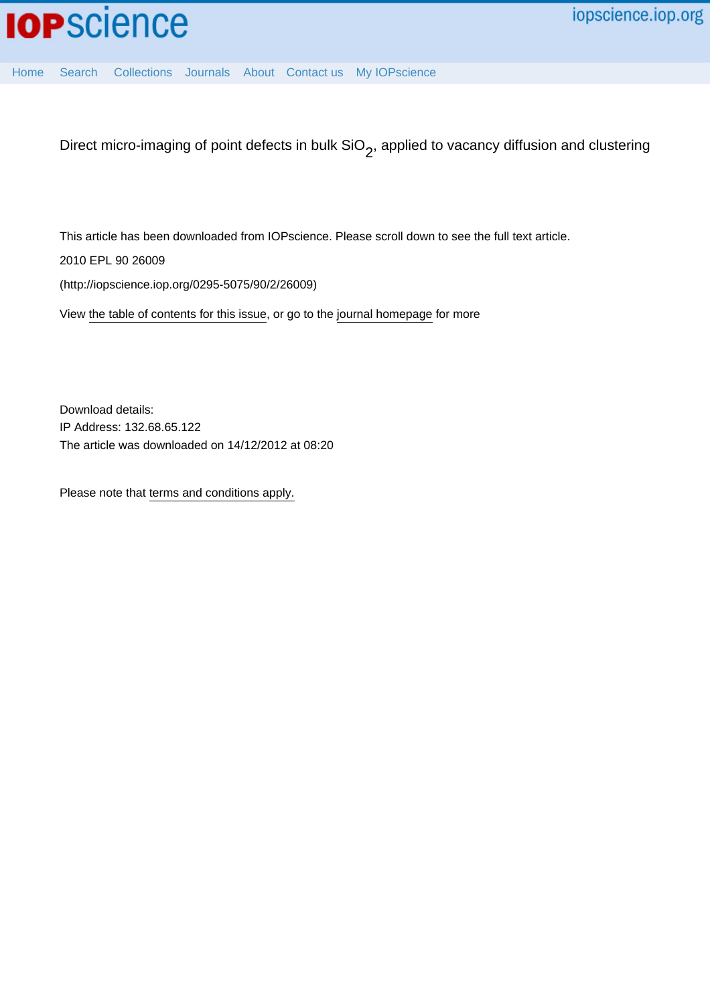[Home](http://iopscience.iop.org/) [Search](http://iopscience.iop.org/search) [Collections](http://iopscience.iop.org/collections) [Journals](http://iopscience.iop.org/journals) [About](http://iopscience.iop.org/page/aboutioppublishing) [Contact us](http://iopscience.iop.org/contact) [My IOPscience](http://iopscience.iop.org/myiopscience)

Direct micro-imaging of point defects in bulk SiO<sub>2</sub>, applied to vacancy diffusion and clustering

This article has been downloaded from IOPscience. Please scroll down to see the full text article.

2010 EPL 90 26009

(http://iopscience.iop.org/0295-5075/90/2/26009)

View [the table of contents for this issue](http://iopscience.iop.org/0295-5075/90/2), or go to the [journal homepage](http://iopscience.iop.org/0295-5075) for more

Download details: IP Address: 132.68.65.122 The article was downloaded on 14/12/2012 at 08:20

Please note that [terms and conditions apply.](http://iopscience.iop.org/page/terms)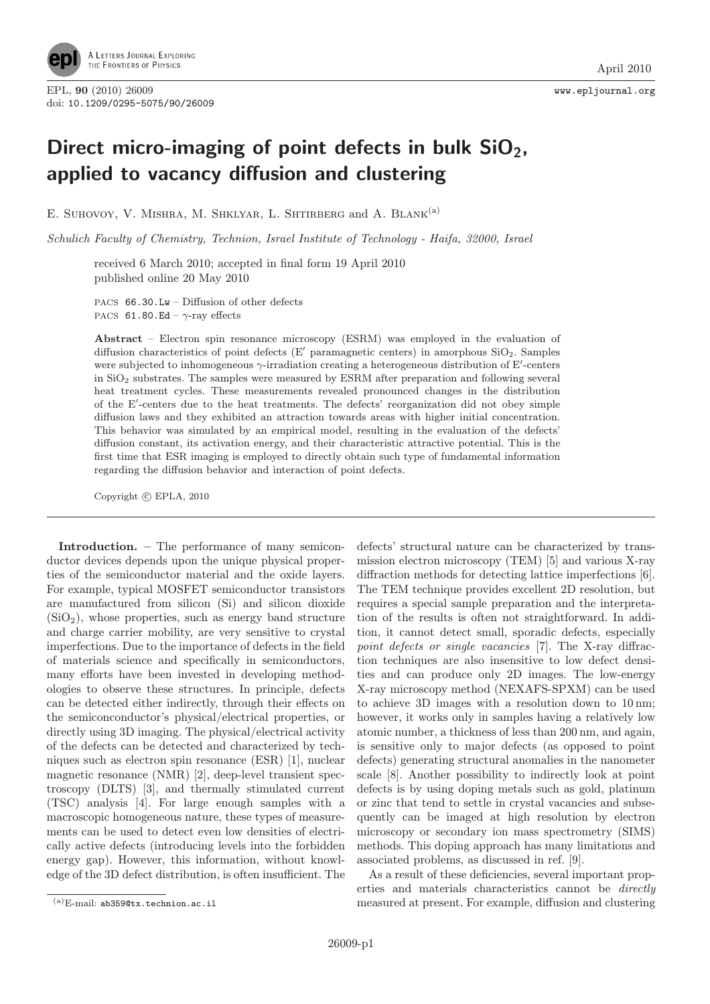

## Direct micro-imaging of point defects in bulk  $SiO<sub>2</sub>$ , applied to vacancy diffusion and clustering

E. SUHOVOY, V. MISHRA, M. SHKLYAR, L. SHTIRBERG and A. BLANK<sup>(a)</sup>

Schulich Faculty of Chemistry, Technion, Israel Institute of Technology - Haifa, 32000, Israel

received 6 March 2010; accepted in final form 19 April 2010 published online 20 May 2010

PACS 66.30.Lw – Diffusion of other defects PACS 61.80.Ed –  $\gamma$ -ray effects

Abstract – Electron spin resonance microscopy (ESRM) was employed in the evaluation of diffusion characteristics of point defects (E' paramagnetic centers) in amorphous  $SiO<sub>2</sub>$ . Samples were subjected to inhomogeneous  $\gamma$ -irradiation creating a heterogeneous distribution of E'-centers in  $SiO<sub>2</sub>$  substrates. The samples were measured by ESRM after preparation and following several heat treatment cycles. These measurements revealed pronounced changes in the distribution of the E -centers due to the heat treatments. The defects' reorganization did not obey simple diffusion laws and they exhibited an attraction towards areas with higher initial concentration. This behavior was simulated by an empirical model, resulting in the evaluation of the defects' diffusion constant, its activation energy, and their characteristic attractive potential. This is the first time that ESR imaging is employed to directly obtain such type of fundamental information regarding the diffusion behavior and interaction of point defects.

Copyright  $\odot$  EPLA, 2010

Introduction. – The performance of many semiconductor devices depends upon the unique physical properties of the semiconductor material and the oxide layers. For example, typical MOSFET semiconductor transistors are manufactured from silicon (Si) and silicon dioxide  $(SiO<sub>2</sub>)$ , whose properties, such as energy band structure and charge carrier mobility, are very sensitive to crystal imperfections. Due to the importance of defects in the field of materials science and specifically in semiconductors, many efforts have been invested in developing methodologies to observe these structures. In principle, defects can be detected either indirectly, through their effects on the semiconconductor's physical/electrical properties, or directly using 3D imaging. The physical/electrical activity of the defects can be detected and characterized by techniques such as electron spin resonance (ESR) [1], nuclear magnetic resonance (NMR) [2], deep-level transient spectroscopy (DLTS) [3], and thermally stimulated current (TSC) analysis [4]. For large enough samples with a macroscopic homogeneous nature, these types of measurements can be used to detect even low densities of electrically active defects (introducing levels into the forbidden energy gap). However, this information, without knowledge of the 3D defect distribution, is often insufficient. The

defects' structural nature can be characterized by transmission electron microscopy (TEM) [5] and various X-ray diffraction methods for detecting lattice imperfections [6]. The TEM technique provides excellent 2D resolution, but requires a special sample preparation and the interpretation of the results is often not straightforward. In addition, it cannot detect small, sporadic defects, especially point defects or single vacancies [7]. The X-ray diffraction techniques are also insensitive to low defect densities and can produce only 2D images. The low-energy X-ray microscopy method (NEXAFS-SPXM) can be used to achieve 3D images with a resolution down to 10 nm; however, it works only in samples having a relatively low atomic number, a thickness of less than 200 nm, and again, is sensitive only to major defects (as opposed to point defects) generating structural anomalies in the nanometer scale [8]. Another possibility to indirectly look at point defects is by using doping metals such as gold, platinum or zinc that tend to settle in crystal vacancies and subsequently can be imaged at high resolution by electron microscopy or secondary ion mass spectrometry (SIMS) methods. This doping approach has many limitations and associated problems, as discussed in ref. [9].

As a result of these deficiencies, several important properties and materials characteristics cannot be directly measured at present. For example, diffusion and clustering

 $(a)$ E-mail: ab359@tx.technion.ac.il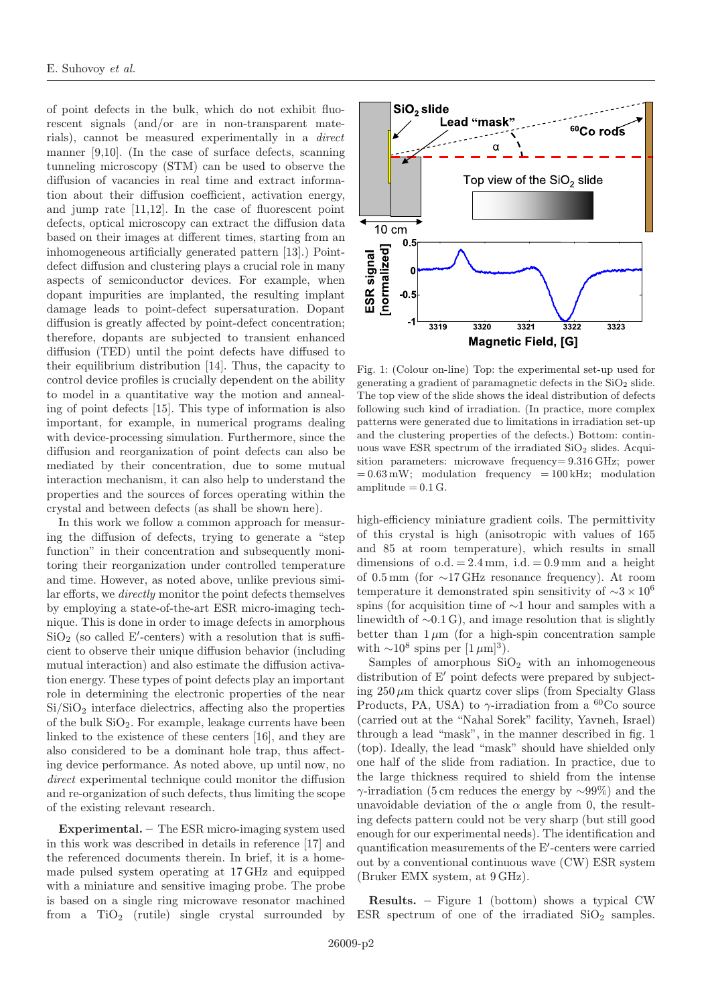of point defects in the bulk, which do not exhibit fluorescent signals (and/or are in non-transparent materials), cannot be measured experimentally in a direct manner [9,10]. (In the case of surface defects, scanning tunneling microscopy (STM) can be used to observe the diffusion of vacancies in real time and extract information about their diffusion coefficient, activation energy, and jump rate [11,12]. In the case of fluorescent point defects, optical microscopy can extract the diffusion data based on their images at different times, starting from an inhomogeneous artificially generated pattern [13].) Pointdefect diffusion and clustering plays a crucial role in many aspects of semiconductor devices. For example, when dopant impurities are implanted, the resulting implant damage leads to point-defect supersaturation. Dopant diffusion is greatly affected by point-defect concentration; therefore, dopants are subjected to transient enhanced diffusion (TED) until the point defects have diffused to their equilibrium distribution [14]. Thus, the capacity to control device profiles is crucially dependent on the ability to model in a quantitative way the motion and annealing of point defects [15]. This type of information is also important, for example, in numerical programs dealing with device-processing simulation. Furthermore, since the diffusion and reorganization of point defects can also be mediated by their concentration, due to some mutual interaction mechanism, it can also help to understand the properties and the sources of forces operating within the crystal and between defects (as shall be shown here).

In this work we follow a common approach for measuring the diffusion of defects, trying to generate a "step function" in their concentration and subsequently monitoring their reorganization under controlled temperature and time. However, as noted above, unlike previous similar efforts, we directly monitor the point defects themselves by employing a state-of-the-art ESR micro-imaging technique. This is done in order to image defects in amorphous  $\rm SiO_2$  (so called E'-centers) with a resolution that is sufficient to observe their unique diffusion behavior (including mutual interaction) and also estimate the diffusion activation energy. These types of point defects play an important role in determining the electronic properties of the near  $Si/SiO<sub>2</sub>$  interface dielectrics, affecting also the properties of the bulk  $SiO<sub>2</sub>$ . For example, leakage currents have been linked to the existence of these centers [16], and they are also considered to be a dominant hole trap, thus affecting device performance. As noted above, up until now, no direct experimental technique could monitor the diffusion and re-organization of such defects, thus limiting the scope of the existing relevant research.

Experimental. – The ESR micro-imaging system used in this work was described in details in reference [17] and the referenced documents therein. In brief, it is a homemade pulsed system operating at 17 GHz and equipped with a miniature and sensitive imaging probe. The probe is based on a single ring microwave resonator machined from a  $TiO<sub>2</sub>$  (rutile) single crystal surrounded by



Fig. 1: (Colour on-line) Top: the experimental set-up used for generating a gradient of paramagnetic defects in the  $SiO<sub>2</sub>$  slide. The top view of the slide shows the ideal distribution of defects following such kind of irradiation. (In practice, more complex patterns were generated due to limitations in irradiation set-up and the clustering properties of the defects.) Bottom: continuous wave ESR spectrum of the irradiated  $SiO<sub>2</sub>$  slides. Acquisition parameters: microwave frequency= 9.316 GHz; power  $= 0.63 \text{ mW}$ ; modulation frequency  $= 100 \text{ kHz}$ ; modulation amplitude  $= 0.1$  G.

high-efficiency miniature gradient coils. The permittivity of this crystal is high (anisotropic with values of 165 and 85 at room temperature), which results in small dimensions of  $o.d. = 2.4 \text{ mm}$ , i.d.  $= 0.9 \text{ mm}$  and a height of 0.5 mm (for ∼17 GHz resonance frequency). At room temperature it demonstrated spin sensitivity of  $\sim 3 \times 10^6$ spins (for acquisition time of ∼1 hour and samples with a linewidth of ∼0.1 G), and image resolution that is slightly better than  $1 \mu m$  (for a high-spin concentration sample with  $\sim 10^8$  spins per [1  $\mu$ m]<sup>3</sup>).

Samples of amorphous  $SiO<sub>2</sub>$  with an inhomogeneous distribution of  $E'$  point defects were prepared by subjecting  $250 \mu m$  thick quartz cover slips (from Specialty Glass Products, PA, USA) to  $\gamma$ -irradiation from a <sup>60</sup>Co source (carried out at the "Nahal Sorek" facility, Yavneh, Israel) through a lead "mask", in the manner described in fig. 1 (top). Ideally, the lead "mask" should have shielded only one half of the slide from radiation. In practice, due to the large thickness required to shield from the intense  $\gamma$ -irradiation (5 cm reduces the energy by  $\sim$ 99%) and the unavoidable deviation of the  $\alpha$  angle from 0, the resulting defects pattern could not be very sharp (but still good enough for our experimental needs). The identification and quantification measurements of the E -centers were carried out by a conventional continuous wave (CW) ESR system (Bruker EMX system, at 9 GHz).

Results. – Figure 1 (bottom) shows a typical CW ESR spectrum of one of the irradiated  $SiO<sub>2</sub>$  samples.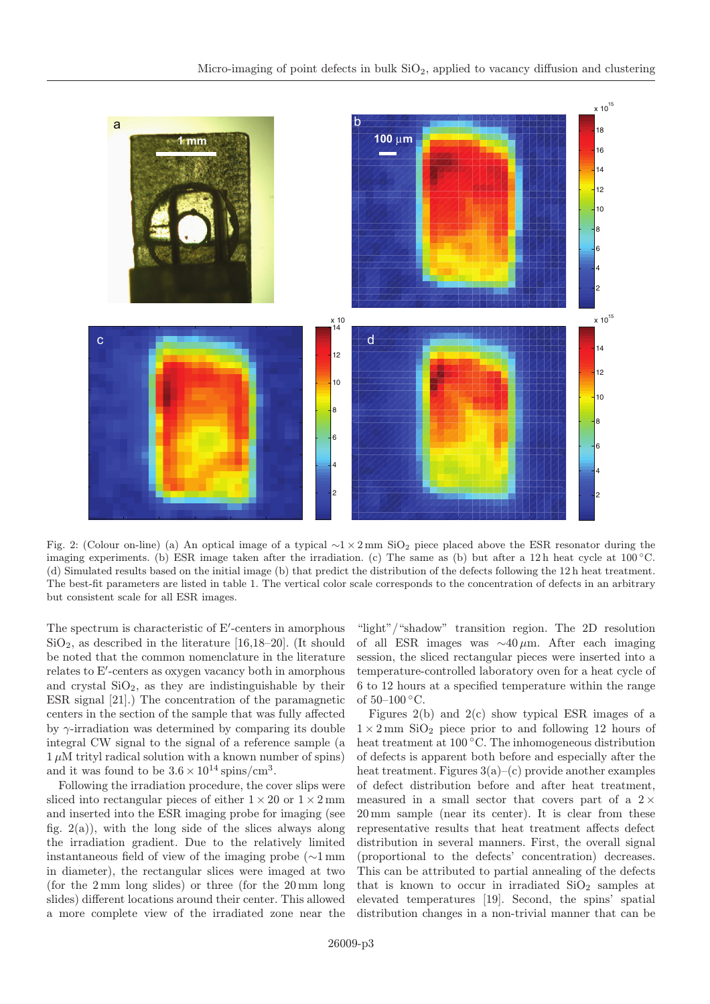

Fig. 2: (Colour on-line) (a) An optical image of a typical  $\sim$ 1 × 2 mm SiO<sub>2</sub> piece placed above the ESR resonator during the imaging experiments. (b) ESR image taken after the irradiation. (c) The same as (b) but after a 12 h heat cycle at 100 ◦C. (d) Simulated results based on the initial image (b) that predict the distribution of the defects following the 12 h heat treatment. The best-fit parameters are listed in table 1. The vertical color scale corresponds to the concentration of defects in an arbitrary but consistent scale for all ESR images.

The spectrum is characteristic of E -centers in amorphous  $SiO<sub>2</sub>$ , as described in the literature [16,18–20]. (It should be noted that the common nomenclature in the literature relates to E -centers as oxygen vacancy both in amorphous and crystal  $SiO<sub>2</sub>$ , as they are indistinguishable by their ESR signal [21].) The concentration of the paramagnetic centers in the section of the sample that was fully affected by  $\gamma$ -irradiation was determined by comparing its double integral CW signal to the signal of a reference sample (a  $1 \mu$ M trityl radical solution with a known number of spins) and it was found to be  $3.6 \times 10^{14}$  spins/cm<sup>3</sup>.

Following the irradiation procedure, the cover slips were sliced into rectangular pieces of either  $1 \times 20$  or  $1 \times 2$  mm and inserted into the ESR imaging probe for imaging (see fig.  $2(a)$ , with the long side of the slices always along the irradiation gradient. Due to the relatively limited instantaneous field of view of the imaging probe (∼1 mm in diameter), the rectangular slices were imaged at two (for the 2 mm long slides) or three (for the 20 mm long slides) different locations around their center. This allowed a more complete view of the irradiated zone near the

"light"/"shadow" transition region. The 2D resolution of all ESR images was  $\sim 40 \,\mu \text{m}$ . After each imaging session, the sliced rectangular pieces were inserted into a temperature-controlled laboratory oven for a heat cycle of 6 to 12 hours at a specified temperature within the range of  $50-100 °C$ .

Figures  $2(b)$  and  $2(c)$  show typical ESR images of a  $1 \times 2$  mm SiO<sub>2</sub> piece prior to and following 12 hours of heat treatment at 100 ◦C. The inhomogeneous distribution of defects is apparent both before and especially after the heat treatment. Figures  $3(a)$ –(c) provide another examples of defect distribution before and after heat treatment, measured in a small sector that covers part of a  $2 \times$ 20 mm sample (near its center). It is clear from these representative results that heat treatment affects defect distribution in several manners. First, the overall signal (proportional to the defects' concentration) decreases. This can be attributed to partial annealing of the defects that is known to occur in irradiated  $SiO<sub>2</sub>$  samples at elevated temperatures [19]. Second, the spins' spatial distribution changes in a non-trivial manner that can be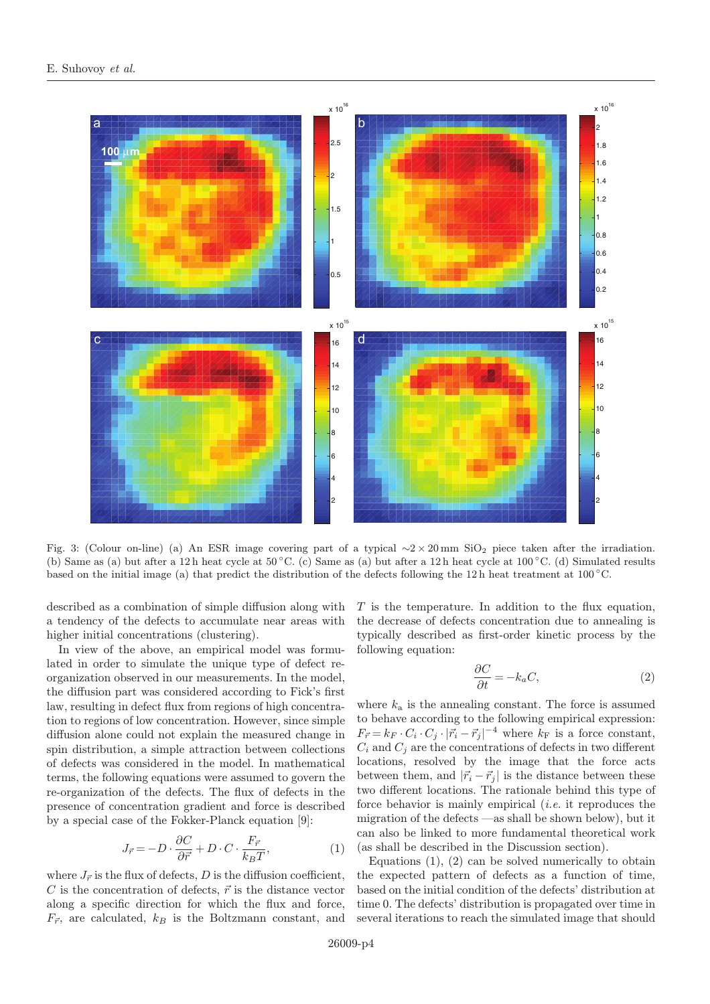

Fig. 3: (Colour on-line) (a) An ESR image covering part of a typical  $\sim$ 2 × 20 mm SiO<sub>2</sub> piece taken after the irradiation. (b) Same as (a) but after a 12 h heat cycle at  $50^{\circ}$ C. (c) Same as (a) but after a 12 h heat cycle at  $100^{\circ}$ C. (d) Simulated results based on the initial image (a) that predict the distribution of the defects following the 12h heat treatment at 100 °C.

described as a combination of simple diffusion along with a tendency of the defects to accumulate near areas with higher initial concentrations (clustering).

In view of the above, an empirical model was formulated in order to simulate the unique type of defect reorganization observed in our measurements. In the model, the diffusion part was considered according to Fick's first law, resulting in defect flux from regions of high concentration to regions of low concentration. However, since simple diffusion alone could not explain the measured change in spin distribution, a simple attraction between collections of defects was considered in the model. In mathematical terms, the following equations were assumed to govern the re-organization of the defects. The flux of defects in the presence of concentration gradient and force is described by a special case of the Fokker-Planck equation [9]:

$$
J_{\vec{r}} = -D \cdot \frac{\partial C}{\partial \vec{r}} + D \cdot C \cdot \frac{F_{\vec{r}}}{k_B T},\tag{1}
$$

where  $J_{\vec{r}}$  is the flux of defects, D is the diffusion coefficient, C is the concentration of defects,  $\vec{r}$  is the distance vector along a specific direction for which the flux and force,  $F_{\vec{r}}$ , are calculated,  $k_B$  is the Boltzmann constant, and T is the temperature. In addition to the flux equation, the decrease of defects concentration due to annealing is typically described as first-order kinetic process by the following equation:

$$
\frac{\partial C}{\partial t} = -k_a C,\tag{2}
$$

where  $k_a$  is the annealing constant. The force is assumed to behave according to the following empirical expression:  $F_{\vec{r}} = k_F \cdot C_i \cdot C_j \cdot |\vec{r}_i - \vec{r}_j|^{-4}$  where  $k_F$  is a force constant,  $C_i$  and  $C_j$  are the concentrations of defects in two different locations, resolved by the image that the force acts between them, and  $|\vec{r}_i - \vec{r}_j|$  is the distance between these two different locations. The rationale behind this type of force behavior is mainly empirical (i.e. it reproduces the migration of the defects —as shall be shown below), but it can also be linked to more fundamental theoretical work (as shall be described in the Discussion section).

Equations  $(1)$ ,  $(2)$  can be solved numerically to obtain the expected pattern of defects as a function of time, based on the initial condition of the defects' distribution at time 0. The defects' distribution is propagated over time in several iterations to reach the simulated image that should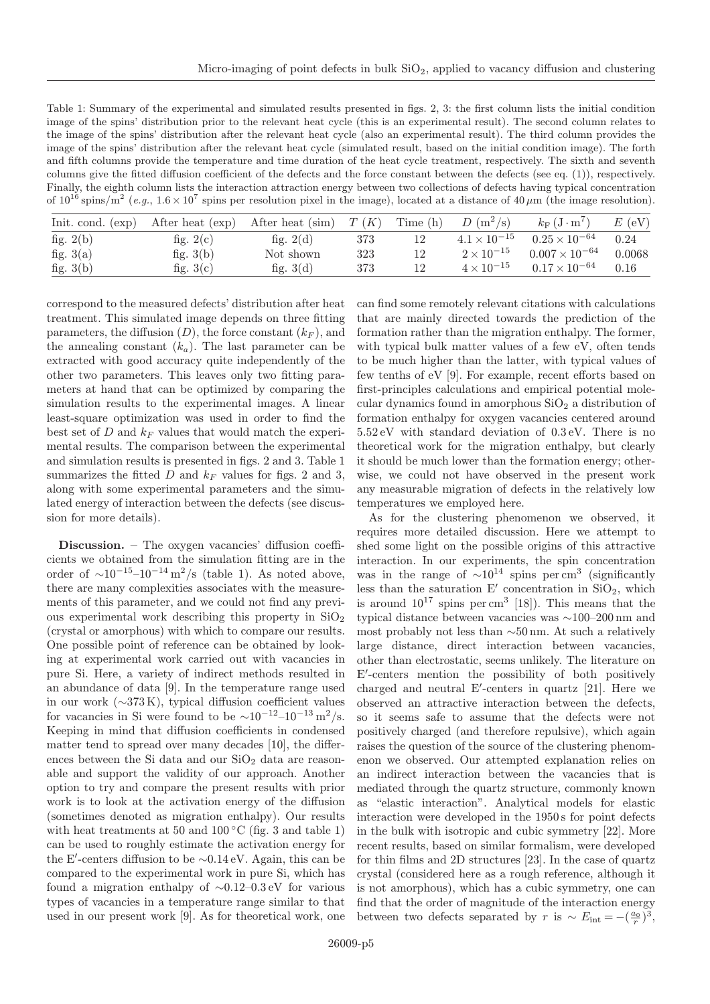| Table 1: Summary of the experimental and simulated results presented in figs. 2, 3: the first column lists the initial condition                                 |
|------------------------------------------------------------------------------------------------------------------------------------------------------------------|
| image of the spins' distribution prior to the relevant heat cycle (this is an experimental result). The second column relates to                                 |
| the image of the spins' distribution after the relevant heat cycle (also an experimental result). The third column provides the                                  |
| image of the spins' distribution after the relevant heat cycle (simulated result, based on the initial condition image). The forth                               |
| and fifth columns provide the temperature and time duration of the heat cycle treatment, respectively. The sixth and seventh                                     |
| columns give the fitted diffusion coefficient of the defects and the force constant between the defects (see eq. $(1)$ ), respectively.                          |
| Finally, the eighth column lists the interaction attraction energy between two collections of defects having typical concentration                               |
| of $10^{16}$ spins/m <sup>2</sup> (e.g., $1.6 \times 10^7$ spins per resolution pixel in the image), located at a distance of $40 \mu$ m (the image resolution). |
|                                                                                                                                                                  |

| Init. cond. (exp) | After heat (exp) | After heat (sim) | T(K) | Time (h) | $D(m^2/s)$            | $k_{\rm F}$ $\rm (J \cdot m)$ | $E$ (eV) |
|-------------------|------------------|------------------|------|----------|-----------------------|-------------------------------|----------|
| fig. $2(b)$       | fig. $2(c)$      | fig. $2(d)$      | 373  |          | $4.1 \times 10^{-15}$ | $0.25 \times 10^{-64}$        | 0.24     |
| fig. $3(a)$       | fig. $3(b)$      | Not shown        | 323  |          | $2 \times 10^{-15}$   | $0.007 \times 10^{-64}$       | 0.0068   |
| fig. $3(b)$       | fig. $3(c)$      | fig. $3(d)$      | 373  |          | $4 \times 10^{-15}$   | $0.17 \times 10^{-64}$        | 0.16     |

correspond to the measured defects' distribution after heat treatment. This simulated image depends on three fitting parameters, the diffusion  $(D)$ , the force constant  $(k_F)$ , and the annealing constant  $(k_a)$ . The last parameter can be extracted with good accuracy quite independently of the other two parameters. This leaves only two fitting parameters at hand that can be optimized by comparing the simulation results to the experimental images. A linear least-square optimization was used in order to find the best set of  $D$  and  $k_F$  values that would match the experimental results. The comparison between the experimental and simulation results is presented in figs. 2 and 3. Table 1 summarizes the fitted  $D$  and  $k_F$  values for figs. 2 and 3, along with some experimental parameters and the simulated energy of interaction between the defects (see discussion for more details).

Discussion. – The oxygen vacancies' diffusion coefficients we obtained from the simulation fitting are in the order of  $\sim 10^{-15}$ – $10^{-14}$  m<sup>2</sup>/s (table 1). As noted above, there are many complexities associates with the measurements of this parameter, and we could not find any previous experimental work describing this property in  $SiO<sub>2</sub>$ (crystal or amorphous) with which to compare our results. One possible point of reference can be obtained by looking at experimental work carried out with vacancies in pure Si. Here, a variety of indirect methods resulted in an abundance of data [9]. In the temperature range used in our work (∼373 K), typical diffusion coefficient values for vacancies in Si were found to be  $\sim 10^{-12} - 10^{-13}$  m<sup>2</sup>/s. Keeping in mind that diffusion coefficients in condensed matter tend to spread over many decades [10], the differences between the Si data and our  $SiO<sub>2</sub>$  data are reasonable and support the validity of our approach. Another option to try and compare the present results with prior work is to look at the activation energy of the diffusion (sometimes denoted as migration enthalpy). Our results with heat treatments at 50 and 100  $\rm{^{\circ}C}$  (fig. 3 and table 1) can be used to roughly estimate the activation energy for the E -centers diffusion to be ∼0.14 eV. Again, this can be compared to the experimental work in pure Si, which has found a migration enthalpy of ∼0.12–0.3 eV for various types of vacancies in a temperature range similar to that used in our present work [9]. As for theoretical work, one can find some remotely relevant citations with calculations that are mainly directed towards the prediction of the formation rather than the migration enthalpy. The former, with typical bulk matter values of a few eV, often tends to be much higher than the latter, with typical values of few tenths of eV [9]. For example, recent efforts based on first-principles calculations and empirical potential molecular dynamics found in amorphous  $SiO<sub>2</sub>$  a distribution of formation enthalpy for oxygen vacancies centered around 5.52 eV with standard deviation of 0.3 eV. There is no theoretical work for the migration enthalpy, but clearly it should be much lower than the formation energy; otherwise, we could not have observed in the present work any measurable migration of defects in the relatively low temperatures we employed here.

As for the clustering phenomenon we observed, it requires more detailed discussion. Here we attempt to shed some light on the possible origins of this attractive interaction. In our experiments, the spin concentration was in the range of  $~\sim 10^{14}$  spins per cm<sup>3</sup> (significantly less than the saturation E' concentration in  $SiO<sub>2</sub>$ , which is around  $10^{17}$  spins per cm<sup>3</sup> [18]). This means that the typical distance between vacancies was ∼100–200 nm and most probably not less than ∼50 nm. At such a relatively large distance, direct interaction between vacancies, other than electrostatic, seems unlikely. The literature on E -centers mention the possibility of both positively charged and neutral E -centers in quartz [21]. Here we observed an attractive interaction between the defects, so it seems safe to assume that the defects were not positively charged (and therefore repulsive), which again raises the question of the source of the clustering phenomenon we observed. Our attempted explanation relies on an indirect interaction between the vacancies that is mediated through the quartz structure, commonly known as "elastic interaction". Analytical models for elastic interaction were developed in the 1950 s for point defects in the bulk with isotropic and cubic symmetry [22]. More recent results, based on similar formalism, were developed for thin films and 2D structures [23]. In the case of quartz crystal (considered here as a rough reference, although it is not amorphous), which has a cubic symmetry, one can find that the order of magnitude of the interaction energy between two defects separated by r is  $\sim E_{\text{int}} = -(\frac{a_0}{r})^3$ ,